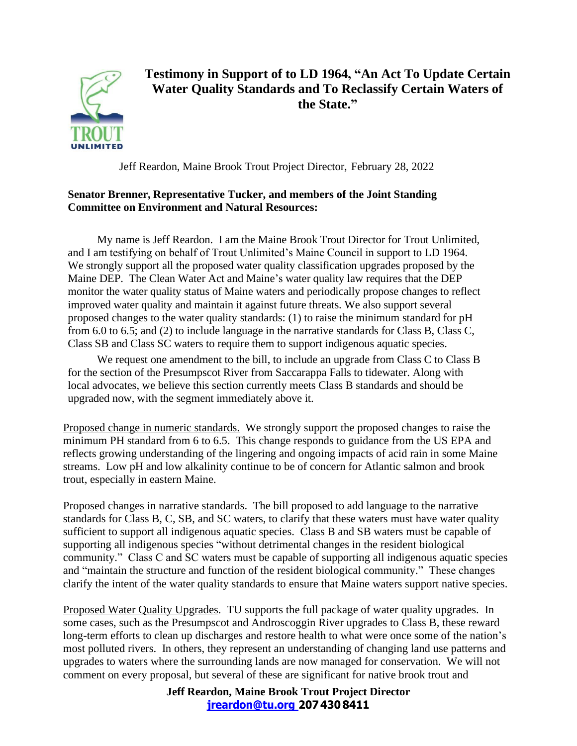

## **Testimony in Support of to LD 1964, "An Act To Update Certain Water Quality Standards and To Reclassify Certain Waters of the State."**

Jeff Reardon, Maine Brook Trout Project Director, February 28, 2022

## **Senator Brenner, Representative Tucker, and members of the Joint Standing Committee on Environment and Natural Resources:**

My name is Jeff Reardon. I am the Maine Brook Trout Director for Trout Unlimited, and I am testifying on behalf of Trout Unlimited's Maine Council in support to LD 1964. We strongly support all the proposed water quality classification upgrades proposed by the Maine DEP. The Clean Water Act and Maine's water quality law requires that the DEP monitor the water quality status of Maine waters and periodically propose changes to reflect improved water quality and maintain it against future threats. We also support several proposed changes to the water quality standards: (1) to raise the minimum standard for pH from 6.0 to 6.5; and (2) to include language in the narrative standards for Class B, Class C, Class SB and Class SC waters to require them to support indigenous aquatic species.

We request one amendment to the bill, to include an upgrade from Class C to Class B for the section of the Presumpscot River from Saccarappa Falls to tidewater. Along with local advocates, we believe this section currently meets Class B standards and should be upgraded now, with the segment immediately above it.

Proposed change in numeric standards. We strongly support the proposed changes to raise the minimum PH standard from 6 to 6.5. This change responds to guidance from the US EPA and reflects growing understanding of the lingering and ongoing impacts of acid rain in some Maine streams. Low pH and low alkalinity continue to be of concern for Atlantic salmon and brook trout, especially in eastern Maine.

Proposed changes in narrative standards. The bill proposed to add language to the narrative standards for Class B, C, SB, and SC waters, to clarify that these waters must have water quality sufficient to support all indigenous aquatic species. Class B and SB waters must be capable of supporting all indigenous species "without detrimental changes in the resident biological community." Class C and SC waters must be capable of supporting all indigenous aquatic species and "maintain the structure and function of the resident biological community." These changes clarify the intent of the water quality standards to ensure that Maine waters support native species.

Proposed Water Quality Upgrades. TU supports the full package of water quality upgrades. In some cases, such as the Presumpscot and Androscoggin River upgrades to Class B, these reward long-term efforts to clean up discharges and restore health to what were once some of the nation's most polluted rivers. In others, they represent an understanding of changing land use patterns and upgrades to waters where the surrounding lands are now managed for conservation. We will not comment on every proposal, but several of these are significant for native brook trout and

> **Jeff Reardon, Maine Brook Trout Project Director [jreardon@tu.org](mailto:jreardon@tu.org) 2074308411**